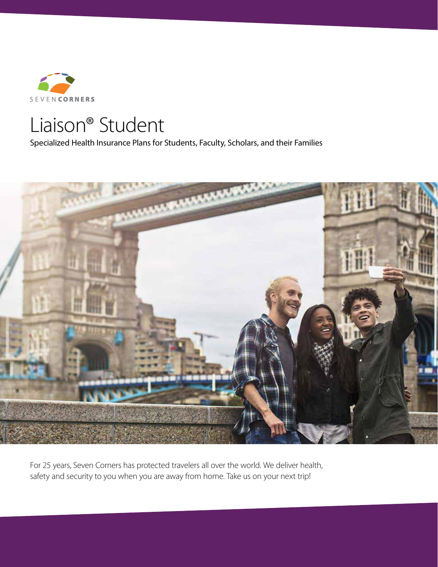

# Liaison® Student

Specialized Health Insurance Plans for Students, Faculty, Scholars, and their Families



For 25 years, Seven Corners has protected travelers all over the world. We deliver health, safety and security to you when you are away from home. Take us on your next trip!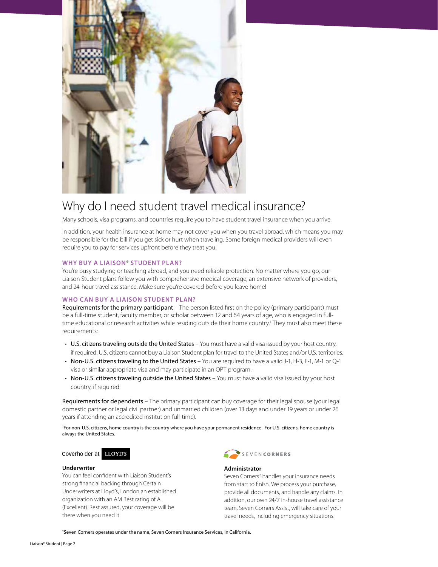

## Why do I need student travel medical insurance?

Many schools, visa programs, and countries require you to have student travel insurance when you arrive.

In addition, your health insurance at home may not cover you when you travel abroad, which means you may be responsible for the bill if you get sick or hurt when traveling. Some foreign medical providers will even require you to pay for services upfront before they treat you.

#### **WHY BUY A LIAISON**® **STUDENT PLAN?**

You're busy studying or teaching abroad, and you need reliable protection. No matter where you go, our Liaison Student plans follow you with comprehensive medical coverage, an extensive network of providers, and 24-hour travel assistance. Make sure you're covered before you leave home!

#### **WHO CAN BUY A LIAISON STUDENT PLAN?**

Requirements for the primary participant – The person listed first on the policy (primary participant) must be a full-time student, faculty member, or scholar between 12 and 64 years of age, who is engaged in fulltime educational or research activities while residing outside their home country.<sup>1</sup> They must also meet these requirements:

- U.S. citizens traveling outside the United States You must have a valid visa issued by your host country, if required. U.S. citizens cannot buy a Liaison Student plan for travel to the United States and/or U.S. territories.
- Non-U.S. citizens traveling to the United States You are required to have a valid J-1, H-3, F-1, M-1 or Q-1 visa or similar appropriate visa and may participate in an OPT program.
- Non-U.S. citizens traveling outside the United States You must have a valid visa issued by your host country, if required.

Requirements for dependents – The primary participant can buy coverage for their legal spouse (your legal domestic partner or legal civil partner) and unmarried children (over 13 days and under 19 years or under 26 years if attending an accredited institution full-time).

1 For non-U.S. citizens, home country is the country where you have your permanent residence. For U.S. citizens, home country is always the United States.

Coverholder at **LLOYD'S** 

#### **Underwriter**

You can feel confident with Liaison Student's strong financial backing through Certain Underwriters at Lloyd's, London an established organization with an AM Best rating of A (Excellent). Rest assured, your coverage will be there when you need it.



#### **Administrator**

Seven Corners<sup>2</sup> handles your insurance needs from start to finish. We process your purchase, provide all documents, and handle any claims. In addition, our own 24/7 in-house travel assistance team, Seven Corners Assist, will take care of your travel needs, including emergency situations.

2 Seven Corners operates under the name, Seven Corners Insurance Services, in California.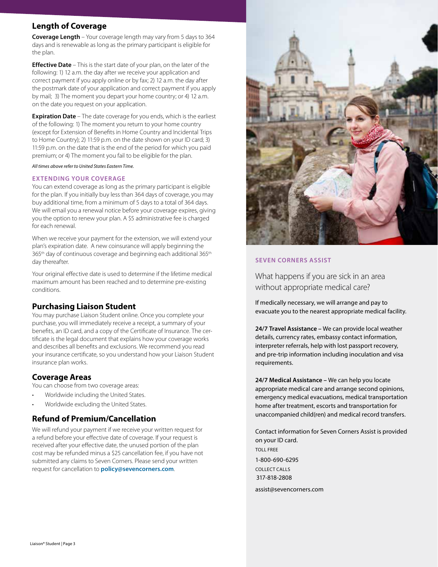## **Length of Coverage**

**Coverage Length** – Your coverage length may vary from 5 days to 364 days and is renewable as long as the primary participant is eligible for the plan.

**Effective Date** – This is the start date of your plan, on the later of the following: 1) 12 a.m. the day after we receive your application and correct payment if you apply online or by fax; 2) 12 a.m. the day after the postmark date of your application and correct payment if you apply by mail; 3) The moment you depart your home country; or 4) 12 a.m. on the date you request on your application.

**Expiration Date** – The date coverage for you ends, which is the earliest of the following: 1) The moment you return to your home country (except for Extension of Benefits in Home Country and Incidental Trips to Home Country); 2) 11:59 p.m. on the date shown on your ID card; 3) 11:59 p.m. on the date that is the end of the period for which you paid premium; or 4) The moment you fail to be eligible for the plan.

*All times above refer to United States Eastern Time.* 

#### **EXTENDING YOUR COVERAGE**

You can extend coverage as long as the primary participant is eligible for the plan. If you initially buy less than 364 days of coverage, you may buy additional time, from a minimum of 5 days to a total of 364 days. We will email you a renewal notice before your coverage expires, giving you the option to renew your plan. A \$5 administrative fee is charged for each renewal.

When we receive your payment for the extension, we will extend your plan's expiration date. A new coinsurance will apply beginning the 365<sup>th</sup> day of continuous coverage and beginning each additional 365<sup>th</sup> day thereafter.

Your original effective date is used to determine if the lifetime medical maximum amount has been reached and to determine pre-existing conditions.

## **Purchasing Liaison Student**

You may purchase Liaison Student online. Once you complete your purchase, you will immediately receive a receipt, a summary of your benefits, an ID card, and a copy of the Certificate of Insurance. The certificate is the legal document that explains how your coverage works and describes all benefits and exclusions. We recommend you read your insurance certificate, so you understand how your Liaison Student insurance plan works.

## **Coverage Areas**

You can choose from two coverage areas:

- Worldwide including the United States.
- Worldwide excluding the United States.

## **Refund of Premium/Cancellation**

We will refund your payment if we receive your written request for a refund before your effective date of coverage. If your request is received after your effective date, the unused portion of the plan cost may be refunded minus a \$25 cancellation fee, if you have not submitted any claims to Seven Corners. Please send your written request for cancellation to **policy@sevencorners.com**.



#### **SEVEN CORNERS ASSIST**

What happens if you are sick in an area without appropriate medical care?

If medically necessary, we will arrange and pay to evacuate you to the nearest appropriate medical facility.

**24/7 Travel Assistance –** We can provide local weather details, currency rates, embassy contact information, interpreter referrals, help with lost passport recovery, and pre-trip information including inoculation and visa requirements.

**24/7 Medical Assistance –** We can help you locate appropriate medical care and arrange second opinions, emergency medical evacuations, medical transportation home after treatment, escorts and transportation for unaccompanied child(ren) and medical record transfers.

Contact information for Seven Corners Assist is provided on your ID card. TOLL FREE 1-800-690-6295 COLLECT CALLS 317-818-2808

assist@sevencorners.com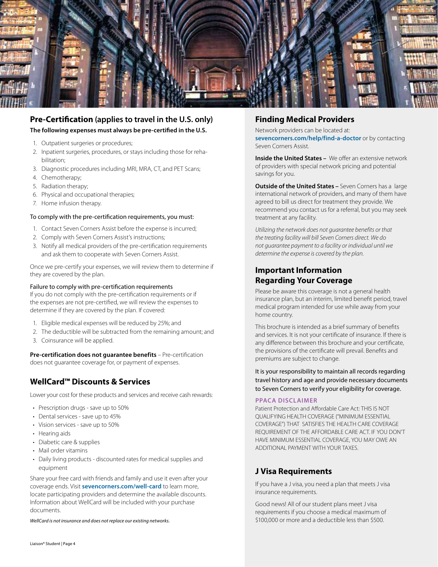

## **Pre-Certification (applies to travel in the U.S. only) The following expenses must always be pre-certified in the U.S.**

- 1. Outpatient surgeries or procedures;
- 2. Inpatient surgeries, procedures, or stays including those for rehabilitation;
- 3. Diagnostic procedures including MRI, MRA, CT, and PET Scans;
- 4. Chemotherapy;
- 5. Radiation therapy;
- 6. Physical and occupational therapies;
- 7. Home infusion therapy.

#### To comply with the pre-certification requirements, you must:

- 1. Contact Seven Corners Assist before the expense is incurred;
- 2. Comply with Seven Corners Assist's instructions;
- 3. Notify all medical providers of the pre-certification requirements and ask them to cooperate with Seven Corners Assist.

Once we pre-certify your expenses, we will review them to determine if they are covered by the plan.

#### Failure to comply with pre-certification requirements

If you do not comply with the pre-certification requirements or if the expenses are not pre-certified, we will review the expenses to determine if they are covered by the plan. If covered:

- 1. Eligible medical expenses will be reduced by 25%; and
- 2. The deductible will be subtracted from the remaining amount; and
- 3. Coinsurance will be applied.

**Pre-certification does not guarantee benefits** – Pre-certification does not guarantee coverage for, or payment of expenses.

## **WellCard™ Discounts & Services**

Lower your cost for these products and services and receive cash rewards:

- Prescription drugs save up to 50%
- Dental services save up to 45%
- Vision services save up to 50%
- Hearing aids
- Diabetic care & supplies
- Mail order vitamins
- Daily living products discounted rates for medical supplies and equipment

Share your free card with friends and family and use it even after your coverage ends. Visit **sevencorners.com/well-card** to learn more, locate participating providers and determine the available discounts. Information about WellCard will be included with your purchase documents.

*WellCard is not insurance and does not replace our existing networks.*

## **Finding Medical Providers**

Network providers can be located at: sevencorners.com/help/find-a-doctor or by contacting Seven Corners Assist.

**Inside the United States –** We offer an extensive network of providers with special network pricing and potential savings for you.

**Outside of the United States –** Seven Corners has a large international network of providers, and many of them have agreed to bill us direct for treatment they provide. We recommend you contact us for a referral, but you may seek treatment at any facility.

*Utilizing the network does not guarantee benefits or that the treating facility will bill Seven Corners direct. We do not guarantee payment to a facility or individual until we determine the expense is covered by the plan.* 

## **Important Information Regarding Your Coverage**

Please be aware this coverage is not a general health insurance plan, but an interim, limited benefit period, travel medical program intended for use while away from your home country.

This brochure is intended as a brief summary of benefits and services. It is not your certificate of insurance. If there is any difference between this brochure and your certificate, the provisions of the certificate will prevail. Benefits and premiums are subject to change.

It is your responsibility to maintain all records regarding travel history and age and provide necessary documents to Seven Corners to verify your eligibility for coverage.

#### **PPACA DISCLAIMER**

Patient Protection and Affordable Care Act: THIS IS NOT QUALIFYING HEALTH COVERAGE ("MINIMUM ESSENTIAL COVERAGE") THAT SATISFIES THE HEALTH CARE COVERAGE REQUIREMENT OF THE AFFORDABLE CARE ACT. IF YOU DON'T HAVE MINIMUM ESSENTIAL COVERAGE, YOU MAY OWE AN ADDITIONAL PAYMENT WITH YOUR TAXES.

## **J Visa Requirements**

If you have a J visa, you need a plan that meets J visa insurance requirements.

Good news! All of our student plans meet J visa requirements if you choose a medical maximum of \$100,000 or more and a deductible less than \$500.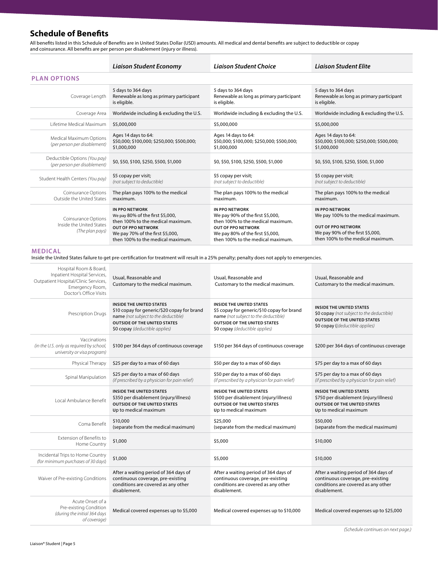## **Schedule of Benefits**

All benefits listed in this Schedule of Benefits are in United States Dollar (USD) amounts. All medical and dental benefits are subject to deductible or copay and coinsurance. All benefits are per person per disablement (injury or illness).

|                                                                                                                                                                | <b>Liaison Student Economy</b>                                                                                                                                                                       | <b>Liaison Student Choice</b>                                                                                                                                                                  | <b>Liaison Student Elite</b>                                                                                                                                       |  |  |
|----------------------------------------------------------------------------------------------------------------------------------------------------------------|------------------------------------------------------------------------------------------------------------------------------------------------------------------------------------------------------|------------------------------------------------------------------------------------------------------------------------------------------------------------------------------------------------|--------------------------------------------------------------------------------------------------------------------------------------------------------------------|--|--|
| <b>PLAN OPTIONS</b>                                                                                                                                            |                                                                                                                                                                                                      |                                                                                                                                                                                                |                                                                                                                                                                    |  |  |
| Coverage Length                                                                                                                                                | 5 days to 364 days<br>Renewable as long as primary participant<br>is eligible.                                                                                                                       | 5 days to 364 days<br>Renewable as long as primary participant<br>is eligible.                                                                                                                 | 5 days to 364 days<br>Renewable as long as primary participant<br>is eligible.                                                                                     |  |  |
| Coverage Area                                                                                                                                                  | Worldwide including & excluding the U.S.                                                                                                                                                             | Worldwide including & excluding the U.S.                                                                                                                                                       | Worldwide including & excluding the U.S.                                                                                                                           |  |  |
| Lifetime Medical Maximum                                                                                                                                       | \$5,000,000                                                                                                                                                                                          | \$5,000,000                                                                                                                                                                                    | \$5,000,000                                                                                                                                                        |  |  |
| Medical Maximum Options<br>(per person per disablement)                                                                                                        | Ages 14 days to 64:<br>\$50,000; \$100,000; \$250,000; \$500,000;<br>\$1,000,000                                                                                                                     | Ages 14 days to 64:<br>\$50,000; \$100,000; \$250,000; \$500,000;<br>\$1,000,000                                                                                                               | Ages 14 days to 64:<br>\$50,000; \$100,000; \$250,000; \$500,000;<br>\$1,000,000                                                                                   |  |  |
| Deductible Options (You pay)<br>(per person per disablement)                                                                                                   | \$0, \$50, \$100, \$250, \$500, \$1,000                                                                                                                                                              | \$0, \$50, \$100, \$250, \$500, \$1,000                                                                                                                                                        | \$0, \$50, \$100, \$250, \$500, \$1,000                                                                                                                            |  |  |
| Student Health Centers (You pay)                                                                                                                               | \$5 copay per visit;<br>(not subject to deductible)                                                                                                                                                  | \$5 copay per visit;<br>(not subject to deductible)                                                                                                                                            | \$5 copay per visit;<br>(not subject to deductible)                                                                                                                |  |  |
| Coinsurance Options<br>Outside the United States                                                                                                               | The plan pays 100% to the medical<br>maximum.                                                                                                                                                        | The plan pays 100% to the medical<br>maximum.                                                                                                                                                  | The plan pays 100% to the medical<br>maximum.                                                                                                                      |  |  |
| Coinsurance Options<br>Inside the United States<br>(The plan pays)                                                                                             | <b>IN PPO NETWORK</b><br>We pay 80% of the first \$5,000,<br>then 100% to the medical maximum.<br><b>OUT OF PPO NETWORK</b><br>We pay 70% of the first \$5,000,<br>then 100% to the medical maximum. | <b>IN PPO NETWORK</b><br>We pay 90% of the first \$5,000,<br>then 100% to the medical maximum.<br>OUT OF PPO NETWORK<br>We pay 80% of the first \$5,000,<br>then 100% to the medical maximum.  | <b>IN PPO NETWORK</b><br>We pay 100% to the medical maximum.<br><b>OUT OF PPO NETWORK</b><br>We pay 90% of the first \$5,000,<br>then 100% to the medical maximum. |  |  |
| <b>MEDICAL</b><br>Inside the United States failure to get pre-certification for treatment will result in a 25% penalty; penalty does not apply to emergencies. |                                                                                                                                                                                                      |                                                                                                                                                                                                |                                                                                                                                                                    |  |  |
| Hospital Room & Board,<br>Inpatient Hospital Services,<br>Outpatient Hospital/Clinic Services,<br>Emergency Room,<br>Doctor's Office Visits                    | Usual, Reasonable and<br>Customary to the medical maximum.                                                                                                                                           | Usual, Reasonable and<br>Customary to the medical maximum.                                                                                                                                     | Usual, Reasonable and<br>Customary to the medical maximum.                                                                                                         |  |  |
| Prescription Drugs                                                                                                                                             | INSIDE THE UNITED STATES<br>\$10 copay for generic/\$20 copay for brand<br>name (not subject to the deductible)<br><b>OUTSIDE OF THE UNITED STATES</b><br>\$0 copay (deductible applies)             | <b>INSIDE THE UNITED STATES</b><br>\$5 copay for generic/\$10 copay for brand<br>name (not subject to the deductible)<br><b>OUTSIDE OF THE UNITED STATES</b><br>\$0 copay (deductible applies) | <b>INSIDE THE UNITED STATES</b><br>\$0 copay (not subject to the deductible)<br><b>OUTSIDE OF THE UNITED STATES</b><br>\$0 copay ((deductible applies)             |  |  |
| Vaccinations<br>(in the U.S. only as required by school,<br>university or visa program)                                                                        | \$100 per 364 days of continuous coverage                                                                                                                                                            | \$150 per 364 days of continuous coverage                                                                                                                                                      | \$200 per 364 days of continuous coverage                                                                                                                          |  |  |
| Physical Therapy                                                                                                                                               | \$25 per day to a max of 60 days                                                                                                                                                                     | \$50 per day to a max of 60 days                                                                                                                                                               | \$75 per day to a max of 60 days                                                                                                                                   |  |  |
| Spinal Manipulation                                                                                                                                            | \$25 per day to a max of 60 days<br>(if prescribed by a physician for pain relief)                                                                                                                   | \$50 per day to a max of 60 days<br>(if prescribed by a physician for pain relief)                                                                                                             | \$75 per day to a max of 60 days<br>(if prescribed by a physician for pain relief)                                                                                 |  |  |
| Local Ambulance Benefit                                                                                                                                        | INSIDE THE UNITED STATES<br>\$350 per disablement (injury/illness)<br><b>OUTSIDE OF THE UNITED STATES</b><br>Up to medical maximum                                                                   | INSIDE THE UNITED STATES<br>\$500 per disablement (injury/illness)<br><b>OUTSIDE OF THE UNITED STATES</b><br>Up to medical maximum                                                             | <b>INSIDE THE UNITED STATES</b><br>\$750 per disablement (injury/illness)<br><b>OUTSIDE OF THE UNITED STATES</b><br>Up to medical maximum                          |  |  |
| Coma Benefit                                                                                                                                                   | \$10,000<br>(separate from the medical maximum)                                                                                                                                                      | \$25,000<br>(separate from the medical maximum)                                                                                                                                                | \$50,000<br>(separate from the medical maximum)                                                                                                                    |  |  |
| Extension of Benefits to<br>Home Country                                                                                                                       | \$1,000                                                                                                                                                                                              | \$5,000                                                                                                                                                                                        | \$10,000                                                                                                                                                           |  |  |
| Incidental Trips to Home Country<br>(for minimum purchases of 30 days)                                                                                         | \$1,000                                                                                                                                                                                              | \$5,000                                                                                                                                                                                        | \$10,000                                                                                                                                                           |  |  |
| Waiver of Pre-existing Conditions                                                                                                                              | After a waiting period of 364 days of<br>continuous coverage, pre-existing<br>conditions are covered as any other<br>disablement.                                                                    | After a waiting period of 364 days of<br>continuous coverage, pre-existing<br>conditions are covered as any other<br>disablement.                                                              | After a waiting period of 364 days of<br>continuous coverage, pre-existing<br>conditions are covered as any other<br>disablement.                                  |  |  |
| Acute Onset of a<br>Pre-existing Condition<br>(during the initial 364 days<br>of coverage)                                                                     | Medical covered expenses up to \$5,000                                                                                                                                                               | Medical covered expenses up to \$10,000                                                                                                                                                        | Medical covered expenses up to \$25,000                                                                                                                            |  |  |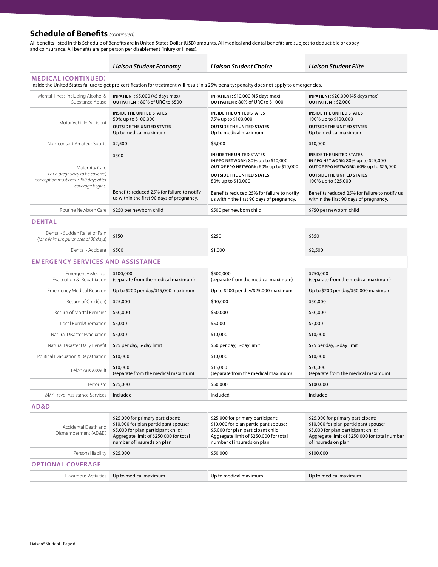## **Schedule of Benefits** *(continued)*

All benefits listed in this Schedule of Benefits are in United States Dollar (USD) amounts. All medical and dental benefits are subject to deductible or copay and coinsurance. All benefits are per person per disablement (injury or illness).

|                                                                                                                                                                            | Liaison Student Economy                                                                                                                                                                   | Liaison Student Choice                                                                                                                                                                    | Liaison Student Elite                                                                                                                                                                     |  |  |
|----------------------------------------------------------------------------------------------------------------------------------------------------------------------------|-------------------------------------------------------------------------------------------------------------------------------------------------------------------------------------------|-------------------------------------------------------------------------------------------------------------------------------------------------------------------------------------------|-------------------------------------------------------------------------------------------------------------------------------------------------------------------------------------------|--|--|
| <b>MEDICAL (CONTINUED)</b><br>Inside the United States failure to get pre-certification for treatment will result in a 25% penalty; penalty does not apply to emergencies. |                                                                                                                                                                                           |                                                                                                                                                                                           |                                                                                                                                                                                           |  |  |
| Mental Illness including Alcohol &<br>Substance Abuse                                                                                                                      | INPATIENT: \$5,000 (45 days max)<br>OUTPATIENT: 80% of URC to \$500                                                                                                                       | INPATIENT: \$10,000 (45 days max)<br>OUTPATIENT: 80% of URC to \$1,000                                                                                                                    | INPATIENT: \$20,000 (45 days max)<br>OUTPATIENT: \$2,000                                                                                                                                  |  |  |
| Motor Vehicle Accident                                                                                                                                                     | <b>INSIDE THE UNITED STATES</b><br>50% up to \$100,000<br><b>OUTSIDE THE UNITED STATES</b><br>Up to medical maximum                                                                       | <b>INSIDE THE UNITED STATES</b><br>75% up to \$100,000<br><b>OUTSIDE THE UNITED STATES</b><br>Up to medical maximum                                                                       | <b>INSIDE THE UNITED STATES</b><br>100% up to \$100,000<br><b>OUTSIDE THE UNITED STATES</b><br>Up to medical maximum                                                                      |  |  |
| Non-contact Amateur Sports                                                                                                                                                 | \$2,500                                                                                                                                                                                   | \$5,000                                                                                                                                                                                   | \$10,000                                                                                                                                                                                  |  |  |
| Maternity Care<br>For a pregnancy to be covered,                                                                                                                           | \$500                                                                                                                                                                                     | INSIDE THE UNITED STATES<br>IN PPO NETWORK: 80% up to \$10,000<br>OUT OF PPO NETWORK: 60% up to \$10,000<br><b>OUTSIDE THE UNITED STATES</b>                                              | <b>INSIDE THE UNITED STATES</b><br>IN PPO NETWORK: 80% up to \$25,000<br>OUT OF PPO NETWORK: 60% up to \$25,000<br><b>OUTSIDE THE UNITED STATES</b>                                       |  |  |
| conception must occur 180 days after<br>coverage begins.                                                                                                                   |                                                                                                                                                                                           | 80% up to \$10,000                                                                                                                                                                        | 100% up to \$25,000                                                                                                                                                                       |  |  |
|                                                                                                                                                                            | Benefits reduced 25% for failure to notify<br>us within the first 90 days of pregnancy.                                                                                                   | Benefits reduced 25% for failure to notify<br>us within the first 90 days of pregnancy.                                                                                                   | Benefits reduced 25% for failure to notify us<br>within the first 90 days of pregnancy.                                                                                                   |  |  |
| Routine Newborn Care                                                                                                                                                       | \$250 per newborn child                                                                                                                                                                   | \$500 per newborn child                                                                                                                                                                   | \$750 per newborn child                                                                                                                                                                   |  |  |
| <b>DENTAL</b>                                                                                                                                                              |                                                                                                                                                                                           |                                                                                                                                                                                           |                                                                                                                                                                                           |  |  |
| Dental - Sudden Relief of Pain<br>(for minimum purchases of 30 days)                                                                                                       | \$150                                                                                                                                                                                     | \$250                                                                                                                                                                                     | \$350                                                                                                                                                                                     |  |  |
| Dental - Accident                                                                                                                                                          | \$500                                                                                                                                                                                     | \$1,000                                                                                                                                                                                   | \$2,500                                                                                                                                                                                   |  |  |
| <b>EMERGENCY SERVICES AND ASSISTANCE</b>                                                                                                                                   |                                                                                                                                                                                           |                                                                                                                                                                                           |                                                                                                                                                                                           |  |  |
| <b>Emergency Medical</b><br>Evacuation & Repatriation                                                                                                                      | \$100,000<br>(separate from the medical maximum)                                                                                                                                          | \$500,000<br>(separate from the medical maximum)                                                                                                                                          | \$750,000<br>(separate from the medical maximum)                                                                                                                                          |  |  |
| <b>Emergency Medical Reunion</b>                                                                                                                                           | Up to \$200 per day/\$15,000 maximum                                                                                                                                                      | Up to \$200 per day/\$25,000 maximum                                                                                                                                                      | Up to \$200 per day/\$50,000 maximum                                                                                                                                                      |  |  |
| Return of Child(ren)                                                                                                                                                       | \$25,000                                                                                                                                                                                  | \$40,000                                                                                                                                                                                  | \$50,000                                                                                                                                                                                  |  |  |
| Return of Mortal Remains                                                                                                                                                   | \$50,000                                                                                                                                                                                  | \$50,000                                                                                                                                                                                  | \$50,000                                                                                                                                                                                  |  |  |
| Local Burial/Cremation                                                                                                                                                     | \$5,000                                                                                                                                                                                   | \$5,000                                                                                                                                                                                   | \$5,000                                                                                                                                                                                   |  |  |
| Natural Disaster Evacuation                                                                                                                                                | \$5,000                                                                                                                                                                                   | \$10,000                                                                                                                                                                                  | \$10,000                                                                                                                                                                                  |  |  |
| Natural Disaster Daily Benefit                                                                                                                                             | \$25 per day, 5-day limit                                                                                                                                                                 | \$50 per day, 5-day limit                                                                                                                                                                 | \$75 per day, 5-day limit                                                                                                                                                                 |  |  |
| Political Evacuation & Repatriation                                                                                                                                        | \$10,000                                                                                                                                                                                  | \$10,000                                                                                                                                                                                  | \$10,000                                                                                                                                                                                  |  |  |
| Felonious Assault                                                                                                                                                          | \$10,000<br>(separate from the medical maximum)                                                                                                                                           | \$15,000<br>(separate from the medical maximum)                                                                                                                                           | \$20,000<br>(separate from the medical maximum)                                                                                                                                           |  |  |
| Terrorism                                                                                                                                                                  | \$25,000                                                                                                                                                                                  | \$50,000                                                                                                                                                                                  | \$100,000                                                                                                                                                                                 |  |  |
| 24/7 Travel Assistance Services                                                                                                                                            | Included                                                                                                                                                                                  | Included                                                                                                                                                                                  | Included                                                                                                                                                                                  |  |  |
| AD&D                                                                                                                                                                       |                                                                                                                                                                                           |                                                                                                                                                                                           |                                                                                                                                                                                           |  |  |
| Accidental Death and<br>Dismemberment (AD&D)                                                                                                                               | \$25,000 for primary participant;<br>\$10,000 for plan participant spouse;<br>\$5,000 for plan participant child;<br>Aggregate limit of \$250,000 for total<br>number of insureds on plan | \$25,000 for primary participant;<br>\$10,000 for plan participant spouse;<br>\$5,000 for plan participant child;<br>Aggregate limit of \$250,000 for total<br>number of insureds on plan | \$25,000 for primary participant;<br>\$10,000 for plan participant spouse;<br>\$5,000 for plan participant child;<br>Aggregate limit of \$250,000 for total number<br>of insureds on plan |  |  |
| Personal liability                                                                                                                                                         | \$25,000                                                                                                                                                                                  | \$50,000                                                                                                                                                                                  | \$100,000                                                                                                                                                                                 |  |  |
| <b>OPTIONAL COVERAGE</b>                                                                                                                                                   |                                                                                                                                                                                           |                                                                                                                                                                                           |                                                                                                                                                                                           |  |  |
| Hazardous Activities                                                                                                                                                       | Up to medical maximum                                                                                                                                                                     | Up to medical maximum                                                                                                                                                                     | Up to medical maximum                                                                                                                                                                     |  |  |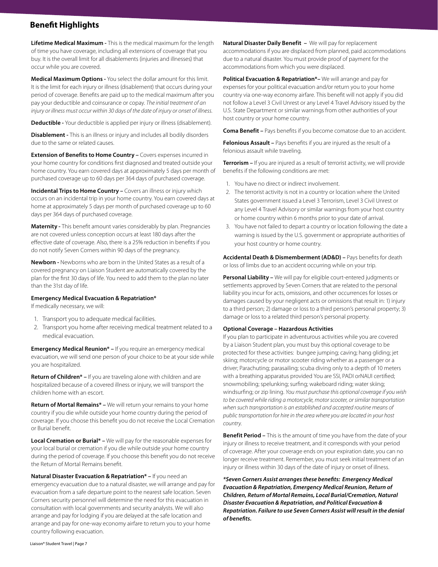## **Benefit Highlights**

**Lifetime Medical Maximum -** This is the medical maximum for the length of time you have coverage, including all extensions of coverage that you buy. It is the overall limit for all disablements (injuries and illnesses) that occur while you are covered.

**Medical Maximum Options -** You select the dollar amount for this limit. It is the limit for each injury or illness (disablement) that occurs during your period of coverage. Benefits are paid up to the medical maximum after you pay your deductible and coinsurance or copay. *The initial treatment of an injury or illness must occur within 30 days of the date of injury or onset of illness.*

**Deductible -** Your deductible is applied per injury or illness (disablement).

**Disablement -** This is an illness or injury and includes all bodily disorders due to the same or related causes.

**Extension of Benefits to Home Country –** Covers expenses incurred in your home country for conditions first diagnosed and treated outside your home country. You earn covered days at approximately 5 days per month of purchased coverage up to 60 days per 364 days of purchased coverage.

**Incidental Trips to Home Country –** Covers an illness or injury which occurs on an incidental trip in your home country. You earn covered days at home at approximately 5 days per month of purchased coverage up to 60 days per 364 days of purchased coverage.

**Maternity - This benefit amount varies considerably by plan. Pregnancies** are not covered unless conception occurs at least 180 days after the effective date of coverage. Also, there is a 25% reduction in benefits if you do not notify Seven Corners within 90 days of the pregnancy.

**Newborn -** Newborns who are born in the United States as a result of a covered pregnancy on Liaison Student are automatically covered by the plan for the first 30 days of life. You need to add them to the plan no later than the 31st day of life.

#### **Emergency Medical Evacuation & Repatriation\***

If medically necessary, we will:

- 1. Transport you to adequate medical facilities.
- 2. Transport you home after receiving medical treatment related to a medical evacuation.

**Emergency Medical Reunion\* –** If you require an emergency medical evacuation, we will send one person of your choice to be at your side while you are hospitalized.

**Return of Children\*** – If you are traveling alone with children and are hospitalized because of a covered illness or injury, we will transport the children home with an escort.

**Return of Mortal Remains\* –** We will return your remains to your home country if you die while outside your home country during the period of coverage. If you choose this benefit you do not receive the Local Cremation or Burial benefit.

**Local Cremation or Burial\* –** We will pay for the reasonable expenses for your local burial or cremation if you die while outside your home country during the period of coverage. If you choose this benefit you do not receive the Return of Mortal Remains benefit.

**Natural Disaster Evacuation & Repatriation\* –** If you need an emergency evacuation due to a natural disaster, we will arrange and pay for evacuation from a safe departure point to the nearest safe location. Seven Corners security personnel will determine the need for this evacuation in consultation with local governments and security analysts. We will also arrange and pay for lodging if you are delayed at the safe location and arrange and pay for one-way economy airfare to return you to your home country following evacuation.

**Natural Disaster Daily Benefit - We will pay for replacement** accommodations if you are displaced from planned, paid accommodations due to a natural disaster. You must provide proof of payment for the accommodations from which you were displaced.

**Political Evacuation & Repatriation\*–** We will arrange and pay for expenses for your political evacuation and/or return you to your home country via one-way economy airfare. This benefit will not apply if you did not follow a Level 3 Civil Unrest or any Level 4 Travel Advisory issued by the U.S. State Department or similar warnings from other authorities of your host country or your home country.

**Coma Benefit –** Pays benefits if you become comatose due to an accident.

**Felonious Assault –** Pays benefits if you are injured as the result of a felonious assault while traveling.

**Terrorism –** If you are injured as a result of terrorist activity, we will provide benefits if the following conditions are met:

- 1. You have no direct or indirect involvement.
- 2. The terrorist activity is not in a country or location where the United States government issued a Level 3 Terrorism, Level 3 Civil Unrest or any Level 4 Travel Advisory or similar warnings from your host country or home country within 6 months prior to your date of arrival.
- 3. You have not failed to depart a country or location following the date a warning is issued by the U.S. government or appropriate authorities of your host country or home country.

**Accidental Death & Dismemberment (AD&D) –** Pays benefits for death or loss of limbs due to an accident occurring while on your trip.

**Personal Liability –** We will pay for eligible court-entered judgments or settlements approved by Seven Corners that are related to the personal liability you incur for acts, omissions, and other occurrences for losses or damages caused by your negligent acts or omissions that result in: 1) injury to a third person; 2) damage or loss to a third person's personal property; 3) damage or loss to a related third person's personal property.

#### **Optional Coverage – Hazardous Activities**

If you plan to participate in adventurous activities while you are covered by a Liaison Student plan, you must buy this optional coverage to be protected for these activities: bungee jumping; caving; hang gliding; jet skiing; motorcycle or motor scooter riding whether as a passenger or a driver; Parachuting; parasailing; scuba diving only to a depth of 10 meters with a breathing apparatus provided You are SSI, PADI orNAUI certified; snowmobiling; spelunking; surfing; wakeboard riding; water skiing; windsurfing; or zip lining. *You must purchase this optional coverage if you wish to be covered while riding a motorcycle, motor scooter, or similar transportation when such transportation is an established and accepted routine means of public transportation for hire in the area where you are located in your host country*.

**Benefit Period –** This is the amount of time you have from the date of your injury or illness to receive treatment, and it corresponds with your period of coverage. After your coverage ends on your expiration date, you can no longer receive treatment. Remember, you must seek initial treatment of an injury or illness within 30 days of the date of injury or onset of illness.

*\*Seven Corners Assist arranges these benefits: Emergency Medical Evacuation & Repatriation, Emergency Medical Reunion, Return of Children, Return of Mortal Remains, Local Burial/Cremation, Natural Disaster Evacuation & Repatriation, and Political Evacuation & Repatriation. Failure to use Seven Corners Assist will result in the denial of benefits.*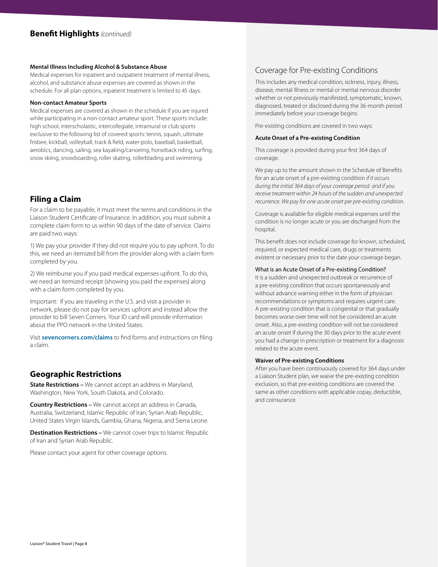#### **Mental Illness Including Alcohol & Substance Abuse**

Medical expenses for inpatient and outpatient treatment of mental illness, alcohol, and substance abuse expenses are covered as shown in the schedule. For all plan options, inpatient treatment is limited to 45 days.

#### **Non-contact Amateur Sports**

Medical expenses are covered as shown in the schedule if you are injured while participating in a non-contact amateur sport. These sports include: high school, interscholastic, intercollegiate, intramural or club sports exclusive to the following list of covered sports: tennis, squash, ultimate frisbee, kickball, volleyball, track & field, water-polo, baseball, basketball, aerobics, dancing, sailing, sea kayaking/canoeing, horseback riding, surfing, snow skiing, snowboarding, roller skating, rollerblading and swimming.

## **Filing a Claim**

For a claim to be payable, it must meet the terms and conditions in the Liaison Student Certificate of Insurance. In addition, you must submit a complete claim form to us within 90 days of the date of service. Claims are paid two ways:

1) We pay your provider if they did not require you to pay upfront. To do this, we need an itemized bill from the provider along with a claim form completed by you.

2) We reimburse you if you paid medical expenses upfront. To do this, we need an itemized receipt (showing you paid the expenses) along with a claim form completed by you.

Important: If you are traveling in the U.S. and visit a provider in network, please do not pay for services upfront and instead allow the provider to bill Seven Corners. Your ID card will provide information about the PPO network in the United States.

Visit **sevencorners.com/claims** to find forms and instructions on filing a claim.

## **Geographic Restrictions**

**State Restrictions –** We cannot accept an address in Maryland, Washington, New York, South Dakota, and Colorado.

**Country Restrictions –** We cannot accept an address in Canada, Australia, Switzerland, Islamic Republic of Iran, Syrian Arab Republic, United States Virgin Islands, Gambia, Ghana, Nigeria, and Sierra Leone.

**Destination Restrictions –** We cannot cover trips to Islamic Republic of Iran and Syrian Arab Republic.

Please contact your agent for other coverage options.

## Coverage for Pre-existing Conditions

This includes any medical condition, sickness, injury, illness, disease, mental Illness or mental or mental nervous disorder whether or not previously manifested, symptomatic, known, diagnosed, treated or disclosed during the 36-month period immediately before your coverage begins.

Pre-existing conditions are covered in two ways:

#### **Acute Onset of a Pre-existing Condition**

This coverage is provided during your first 364 days of coverage.

We pay up to the amount shown in the Schedule of Benefits for an acute onset of a pre-existing condition *if it occurs during the initial 364 days of your coverage period and if you receive treatment within 24 hours of the sudden and unexpected recurrence. We pay for one acute onset per pre-existing condition.* 

Coverage is available for eligible medical expenses until the condition is no longer acute or you are discharged from the hospital.

This benefit does not include coverage for known, scheduled, required, or expected medical care, drugs or treatments existent or necessary prior to the date your coverage began.

#### What is an Acute Onset of a Pre-existing Condition?

It is a sudden and unexpected outbreak or recurrence of a pre-existing condition that occurs spontaneously and without advance warning either in the form of physician recommendations or symptoms and requires urgent care. A pre-existing condition that is congenital or that gradually becomes worse over time will not be considered an acute onset. Also, a pre-existing condition will not be considered an acute onset if during the 30 days prior to the acute event you had a change in prescription or treatment for a diagnosis related to the acute event.

#### **Waiver of Pre-existing Conditions**

After you have been continuously covered for 364 days under a Liaison Student plan, we waive the pre-existing condition exclusion, so that pre-existing conditions are covered the same as other conditions with applicable copay, deductible, and coinsurance.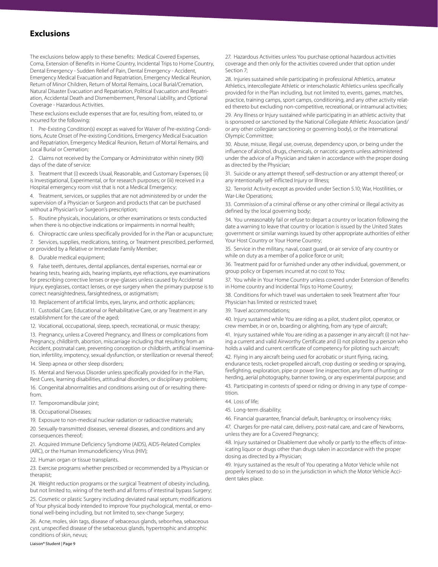## **Exclusions**

The exclusions below apply to these benefits: Medical Covered Expenses, Coma, Extension of Benefits in Home Country, Incidental Trips to Home Country, Dental Emergency - Sudden Relief of Pain, Dental Emergency - Accident, Emergency Medical Evacuation and Repatriation, Emergency Medical Reunion, Return of Minor Children, Return of Mortal Remains, Local Burial/Cremation, Natural Disaster Evacuation and Repatriation, Political Evacuation and Repatriation, Accidental Death and Dismemberment, Personal Liability, and Optional Coverage - Hazardous Activities.

These exclusions exclude expenses that are for, resulting from, related to, or incurred for the following:

1. Pre-Existing Condition(s) except as waived for Waiver of Pre-existing Conditions, Acute Onset of Pre-existing Conditions, Emergency Medical Evacuation and Repatriation, Emergency Medical Reunion, Return of Mortal Remains, and Local Burial or Cremation;

2. Claims not received by the Company or Administrator within ninety (90) days of the date of service:

3. Treatment that (i) exceeds Usual, Reasonable, and Customary Expenses; (ii) is Investigational, Experimental, or for research purposes; or (iii) received in a Hospital emergency room visit that is not a Medical Emergency;

4. Treatment, services, or supplies that are not administered by or under the supervision of a Physician or Surgeon and products that can be purchased without a Physician's or Surgeon's prescription;

5. Routine physicals, inoculations, or other examinations or tests conducted when there is no objective indications or impairments in normal health;

6. Chiropractic care unless specifically provided for in the Plan or acupuncture;

7. Services, supplies, medications, testing, or Treatment prescribed, performed,

or provided by a Relative or Immediate Family Member;

8. Durable medical equipment;

9. False teeth, dentures, dental appliances, dental expenses, normal ear or hearing tests, hearing aids, hearing implants, eye refractions, eye examinations for prescribing corrective lenses or eye-glasses unless caused by Accidental Injury, eyeglasses, contact lenses, or eye surgery when the primary purpose is to correct nearsightedness, farsightedness, or astigmatism;

10. Replacement of artificial limbs, eyes, larynx, and orthotic appliances;

11. Custodial Care, Educational or Rehabilitative Care, or any Treatment in any establishment for the care of the aged;

12. Vocational, occupational, sleep, speech, recreational, or music therapy;

13. Pregnancy, unless a Covered Pregnancy, and Illness or complications from Pregnancy, childbirth, abortion, miscarriage including that resulting from an Accident, postnatal care, preventing conception or childbirth, artificial insemination, infertility, impotency, sexual dysfunction, or sterilization or reversal thereof;

14. Sleep apnea or other sleep disorders;

15. Mental and Nervous Disorder unless specifically provided for in the Plan,

Rest Cures, learning disabilities, attitudinal disorders, or disciplinary problems; 16. Congenital abnormalities and conditions arising out of or resulting therefrom.

17. Temporomandibular joint;

18. Occupational Diseases;

19. Exposure to non-medical nuclear radiation or radioactive materials;

20. Sexually-transmitted diseases, venereal diseases, and conditions and any consequences thereof;

21. Acquired Immune Deficiency Syndrome (AIDS), AIDS-Related Complex (ARC), or the Human Immunodeficiency Virus (HIV);

22. Human organ or tissue transplants.

23. Exercise programs whether prescribed or recommended by a Physician or therapist;

24. Weight reduction programs or the surgical Treatment of obesity including, but not limited to, wiring of the teeth and all forms of intestinal bypass Surgery;

25. Cosmetic or plastic Surgery including deviated nasal septum; modifications of Your physical body intended to improve Your psychological, mental, or emotional well-being including, but not limited to, sex-change Surgery;

26. Acne, moles, skin tags, disease of sebaceous glands, seborrhea, sebaceous cyst, unspecified disease of the sebaceous glands, hypertrophic and atrophic conditions of skin, nevus;

27. Hazardous Activities unless You purchase optional hazardous activities coverage and then only for the activities covered under that option under Section 7;

28. Injuries sustained while participating in professional Athletics, amateur Athletics, intercollegiate Athletic or interscholastic Athletics unless specifically provided for in the Plan including, but not limited to, events, games, matches, practice, training camps, sport camps, conditioning, and any other activity related thereto but excluding non-competitive, recreational, or intramural activities;

29. Any Illness or Injury sustained while participating in an athletic activity that is sponsored or sanctioned by the National Collegiate Athletic Association (and/ or any other collegiate sanctioning or governing body), or the International Olympic Committee;

30. Abuse, misuse, illegal use, overuse, dependency upon, or being under the influence of alcohol, drugs, chemicals, or narcotic agents unless administered under the advice of a Physician and taken in accordance with the proper dosing as directed by the Physician;

31. Suicide or any attempt thereof; self-destruction or any attempt thereof; or any intentionally self-inflicted Injury or Illness;

32. Terrorist Activity except as provided under Section 5.10; War, Hostilities, or War-Like Operations;

33. Commission of a criminal offense or any other criminal or illegal activity as defined by the local governing body;

34. You unreasonably fail or refuse to depart a country or location following the date a warning to leave that country or location is issued by the United States government or similar warnings issued by other appropriate authorities of either Your Host Country or Your Home Country;

35. Service in the military, naval, coast guard, or air service of any country or while on duty as a member of a police force or unit;

36. Treatment paid for or furnished under any other individual, government, or group policy or Expenses incurred at no cost to You;

37. You while in Your Home Country unless covered under Extension of Benefits in Home country and Incidental Trips to Home Country;

38. Conditions for which travel was undertaken to seek Treatment after Your Physician has limited or restricted travel;

39. Travel accommodations;

40. Injury sustained while You are riding as a pilot, student pilot, operator, or crew member, in or on, boarding or alighting, from any type of aircraft;

41. Injury sustained while You are riding as a passenger in any aircraft (i) not having a current and valid Airworthy Certificate and (i) not piloted by a person who holds a valid and current certificate of competency for piloting such aircraft;

42. Flying in any aircraft being used for acrobatic or stunt flying, racing, endurance tests, rocket-propelled aircraft, crop dusting or seeding or spraying, firefighting, exploration, pipe or power line inspection, any form of hunting or herding, aerial photography, banner towing, or any experimental purpose; and

43. Participating in contests of speed or riding or driving in any type of competition.

44. Loss of life;

- 45. Long-term disability;
- 46. Financial guarantee, financial default, bankruptcy, or insolvency risks;

47. Charges for pre-natal care, delivery, post-natal care, and care of Newborns, unless they are for a Covered Pregnancy;

48. Injury sustained or Disablement due wholly or partly to the effects of intoxicating liquor or drugs other than drugs taken in accordance with the proper dosing as directed by a Physician;

49. Injury sustained as the result of You operating a Motor Vehicle while not properly licensed to do so in the jurisdiction in which the Motor Vehicle Accident takes place.